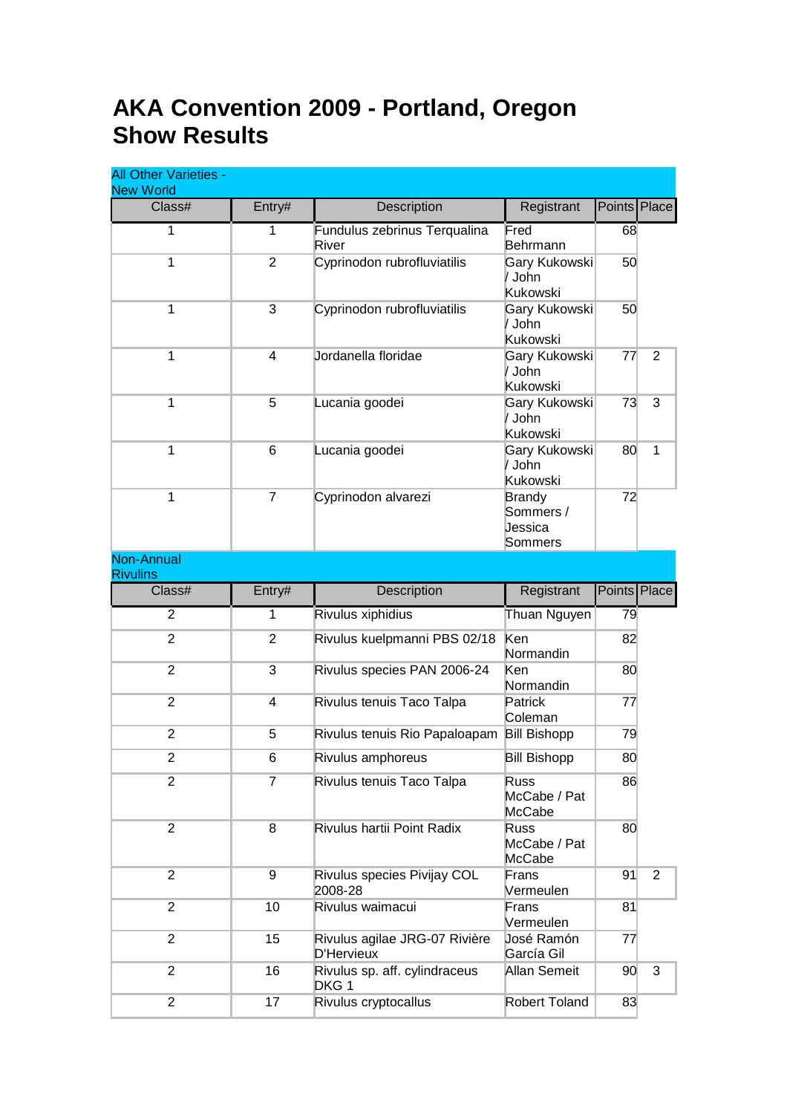## **AKA Convention 2009 - Portland, Oregon Show Results**

| <b>All Other Varieties -</b><br><b>New World</b> |                |                                             |                                                  |              |              |
|--------------------------------------------------|----------------|---------------------------------------------|--------------------------------------------------|--------------|--------------|
| Class#                                           | Entry#         | Description                                 | Registrant                                       | Points Place |              |
| 1                                                | 1              | Fundulus zebrinus Terqualina<br>River       | Fred<br>Behrmann                                 | 68           |              |
| 1                                                | $\overline{2}$ | Cyprinodon rubrofluviatilis                 | Gary Kukowski<br>/ John<br>Kukowski              | 50           |              |
| 1                                                | 3              | Cyprinodon rubrofluviatilis                 | Gary Kukowski<br>/ John<br>Kukowski              | 50           |              |
| 1                                                | 4              | Jordanella floridae                         | Gary Kukowski<br>/ John<br>Kukowski              | 77           | 2            |
| $\mathbf{1}$                                     | 5              | Lucania goodei                              | Gary Kukowski<br>/ John<br>Kukowski              | 73           | 3            |
| 1                                                | 6              | Lucania goodei                              | Gary Kukowski<br>/ John<br>Kukowski              | 80           | $\mathbf{1}$ |
| 1                                                | $\overline{7}$ | Cyprinodon alvarezi                         | <b>Brandy</b><br>Sommers /<br>Jessica<br>Sommers | 72           |              |
| <b>Non-Annual</b><br><b>Rivulins</b>             |                |                                             |                                                  |              |              |
| Class#                                           | Entry#         | Description                                 | Registrant                                       | Points Place |              |
| $\overline{2}$                                   | 1              | Rivulus xiphidius                           | Thuan Nguyen                                     | 79           |              |
| $\overline{2}$                                   | $\overline{2}$ | Rivulus kuelpmanni PBS 02/18                | Ken<br>Normandin                                 | 82           |              |
| $\overline{2}$                                   | 3              | Rivulus species PAN 2006-24                 | Ken<br>Normandin                                 | 80           |              |
| $\overline{2}$                                   | 4              | Rivulus tenuis Taco Talpa                   | Patrick<br>Coleman                               | 77           |              |
| $\overline{2}$                                   | 5              | Rivulus tenuis Rio Papaloapam               | <b>Bill Bishopp</b>                              | 79           |              |
| 2                                                | 6              | Rivulus amphoreus                           | <b>Bill Bishopp</b>                              | 80           |              |
| $\overline{2}$                                   | $\overline{7}$ | Rivulus tenuis Taco Talpa                   | <b>Russ</b><br>McCabe / Pat<br>McCabe            | 86           |              |
| $\overline{2}$                                   | 8              | Rivulus hartii Point Radix                  | <b>Russ</b><br>McCabe / Pat<br>McCabe            | 80           |              |
| $\overline{2}$                                   | 9              | Rivulus species Pivijay COL<br>2008-28      | Frans<br>Vermeulen                               | 91           | 2            |
| $\overline{2}$                                   | 10             | Rivulus waimacui                            | Frans<br>Vermeulen                               | 81           |              |
| $\overline{2}$                                   | 15             | Rivulus agilae JRG-07 Rivière<br>D'Hervieux | José Ramón<br>García Gil                         | 77           |              |
| $\overline{2}$                                   | 16             | Rivulus sp. aff. cylindraceus<br>DKG 1      | Allan Semeit                                     | 90           | 3            |
| $\overline{2}$                                   | 17             | Rivulus cryptocallus                        | Robert Toland                                    | 83           |              |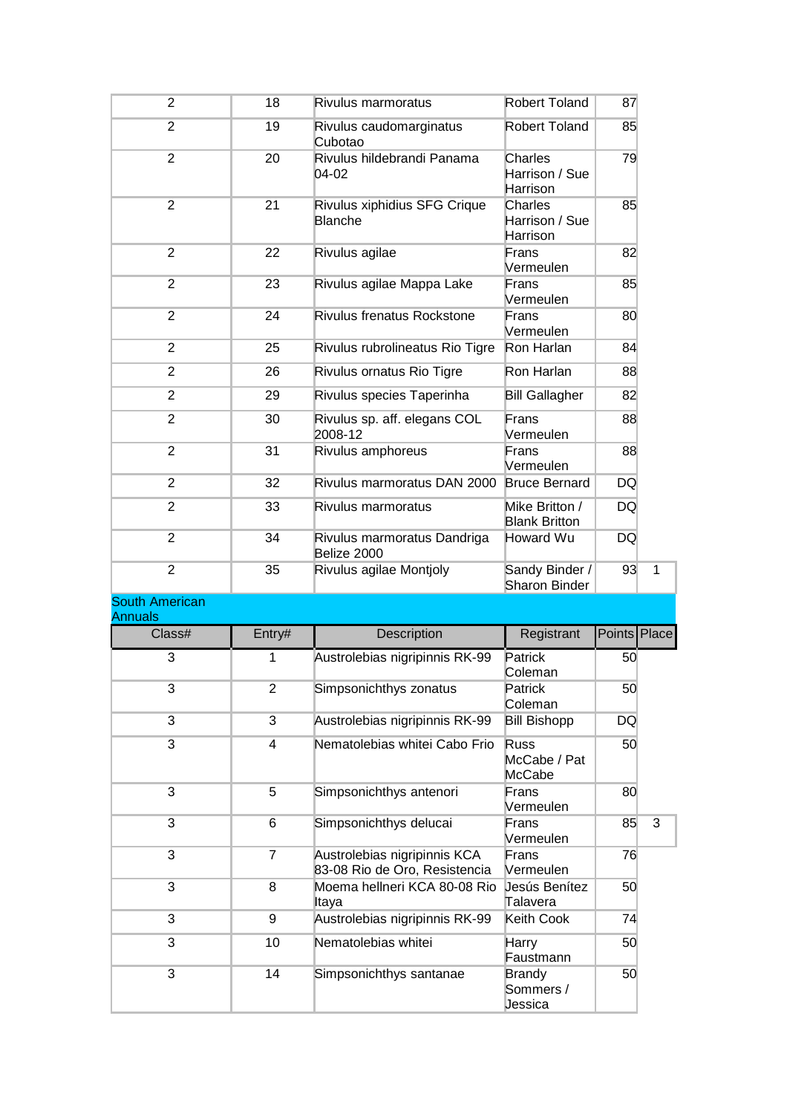| 2                                       | 18             | Rivulus marmoratus                                            | Robert Toland                          | 87           |   |
|-----------------------------------------|----------------|---------------------------------------------------------------|----------------------------------------|--------------|---|
| $\overline{2}$                          | 19             | Rivulus caudomarginatus<br>Cubotao                            | Robert Toland                          | 85           |   |
| $\overline{2}$                          | 20             | Rivulus hildebrandi Panama<br>04-02                           | Charles<br>Harrison / Sue<br>Harrison  | 79           |   |
| $\overline{2}$                          | 21             | Rivulus xiphidius SFG Crique<br><b>Blanche</b>                | Charles<br>Harrison / Sue<br>Harrison  | 85           |   |
| $\overline{2}$                          | 22             | Rivulus agilae                                                | Frans<br>Vermeulen                     | 82           |   |
| $\overline{2}$                          | 23             | Rivulus agilae Mappa Lake                                     | Frans<br>Vermeulen                     | 85           |   |
| $\overline{2}$                          | 24             | <b>Rivulus frenatus Rockstone</b>                             | Frans<br>Vermeulen                     | 80           |   |
| $\overline{2}$                          | 25             | Rivulus rubrolineatus Rio Tigre                               | Ron Harlan                             | 84           |   |
| $\overline{2}$                          | 26             | Rivulus ornatus Rio Tigre                                     | Ron Harlan                             | 88           |   |
| $\overline{2}$                          | 29             | Rivulus species Taperinha                                     | <b>Bill Gallagher</b>                  | 82           |   |
| $\overline{2}$                          | 30             | Rivulus sp. aff. elegans COL<br>2008-12                       | Frans<br>Vermeulen                     | 88           |   |
| $\overline{2}$                          | 31             | Rivulus amphoreus                                             | Frans<br>Vermeulen                     | 88           |   |
| $\overline{2}$                          | 32             | Rivulus marmoratus DAN 2000                                   | <b>Bruce Bernard</b>                   | DQ           |   |
| $\overline{2}$                          | 33             | Rivulus marmoratus                                            | Mike Britton /<br><b>Blank Britton</b> | DQ           |   |
| $\overline{2}$                          | 34             | Rivulus marmoratus Dandriga<br>Belize 2000                    | Howard Wu                              | DQ           |   |
| $\overline{2}$                          | 35             | Rivulus agilae Montjoly                                       | Sandy Binder /<br>Sharon Binder        | 93           | 1 |
| <b>South American</b><br><b>Annuals</b> |                |                                                               |                                        |              |   |
| Class#                                  | Entry#         | Description                                                   | Registrant                             | Points Place |   |
| 3                                       | 1              | Austrolebias nigripinnis RK-99                                | Patrick<br>Coleman                     | 50           |   |
| 3                                       | $\overline{c}$ | Simpsonichthys zonatus                                        | Patrick<br>Coleman                     | 50           |   |
| 3                                       | 3              | Austrolebias nigripinnis RK-99                                | <b>Bill Bishopp</b>                    | DQ           |   |
| 3                                       | 4              | Nematolebias whitei Cabo Frio                                 | <b>Russ</b><br>McCabe / Pat<br>McCabe  | 50           |   |
| 3                                       | 5              | Simpsonichthys antenori                                       | Frans<br>Vermeulen                     | 80           |   |
| 3                                       | 6              | Simpsonichthys delucai                                        | Frans<br>Vermeulen                     | 85           | 3 |
| 3                                       | $\overline{7}$ | Austrolebias nigripinnis KCA<br>83-08 Rio de Oro, Resistencia | Frans<br>Vermeulen                     | 76           |   |
| 3                                       | 8              | Moema hellneri KCA 80-08 Rio<br>Itaya                         | Jesús Benítez<br>Talavera              | 50           |   |
| 3                                       | 9              | Austrolebias nigripinnis RK-99                                | Keith Cook                             | 74           |   |
| 3                                       | 10             | Nematolebias whitei                                           | <b>Harry</b><br>Faustmann              | 50           |   |
| 3                                       | 14             | Simpsonichthys santanae                                       | <b>Brandy</b><br>Sommers /<br>Jessica  | 50           |   |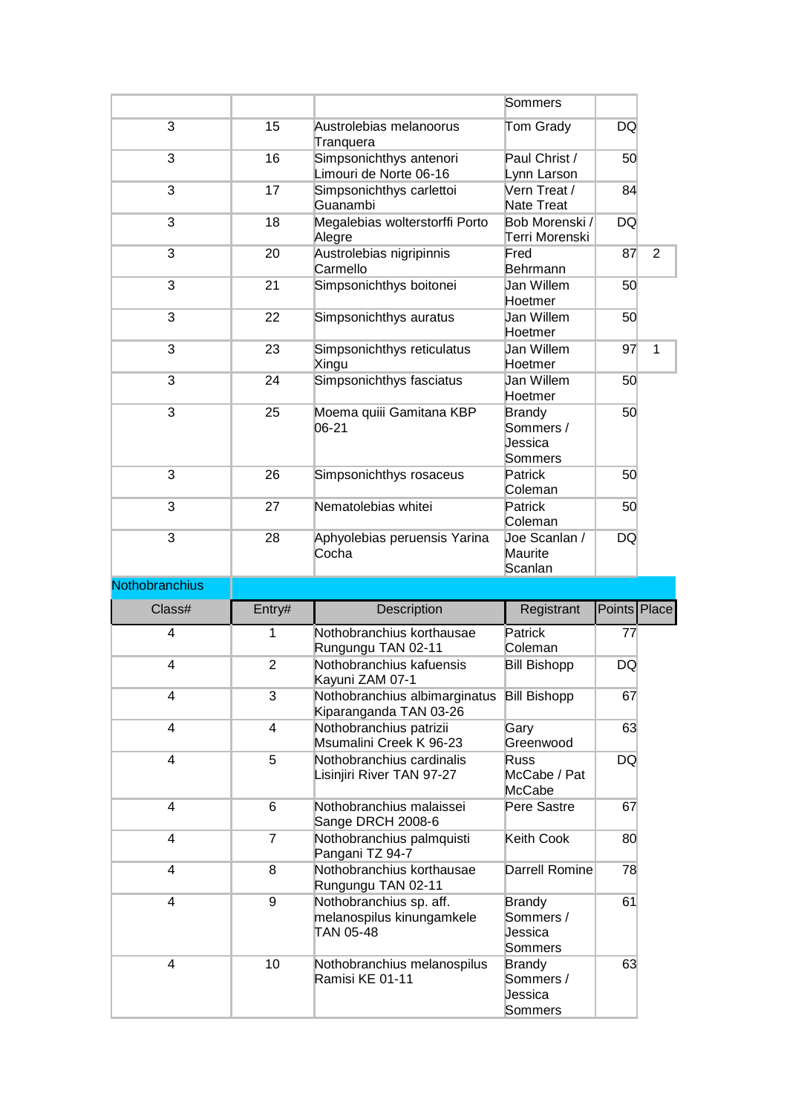|                |                |                                                                                                  | Sommers                                                           |              |                |
|----------------|----------------|--------------------------------------------------------------------------------------------------|-------------------------------------------------------------------|--------------|----------------|
| 3              | 15             | Austrolebias melanoorus<br>Tranquera                                                             | Tom Grady                                                         | <b>DQ</b>    |                |
| 3              | 16             | Simpsonichthys antenori<br>Limouri de Norte 06-16                                                | Paul Christ /<br>Lynn Larson                                      | 50           |                |
| 3              | 17             | Simpsonichthys carlettoi<br>Guanambi                                                             | Vern Treat /<br>Nate Treat                                        | 84           |                |
| 3              | 18             | Megalebias wolterstorffi Porto<br>Alegre                                                         | Bob Morenski /<br>Terri Morenski                                  | <b>DQ</b>    |                |
| 3              | 20             | Austrolebias nigripinnis<br>Carmello                                                             | Fred<br>Behrmann                                                  | 87           | $\overline{2}$ |
| 3              | 21             | Simpsonichthys boitonei                                                                          | Jan Willem<br>Hoetmer                                             | 50           |                |
| 3              | 22             | Simpsonichthys auratus                                                                           | Jan Willem<br>Hoetmer                                             | 50           |                |
| 3              | 23             | Simpsonichthys reticulatus<br>Xingu                                                              | Jan Willem<br>Hoetmer                                             | 97           | 1              |
| 3              | 24             | Simpsonichthys fasciatus                                                                         | Jan Willem<br>Hoetmer                                             | 50           |                |
| 3              | 25             | Moema quiii Gamitana KBP<br>06-21                                                                | <b>Brandy</b><br>Sommers /<br>Jessica<br>Sommers                  | 50           |                |
| 3              | 26             | Simpsonichthys rosaceus                                                                          | Patrick<br>Coleman                                                | 50           |                |
| 3              | 27             | Nematolebias whitei                                                                              | Patrick<br>Coleman                                                | 50           |                |
| 3              | 28             | Aphyolebias peruensis Yarina<br>Cocha                                                            | Joe Scanlan /<br>Maurite                                          | <b>DQ</b>    |                |
|                |                |                                                                                                  | Scanlan                                                           |              |                |
| Nothobranchius |                |                                                                                                  |                                                                   |              |                |
| Class#         | Entry#         | Description                                                                                      | Registrant                                                        | Points Place |                |
| $\overline{4}$ | 1              | Nothobranchius korthausae<br>Rungungu TAN 02-11                                                  | Patrick<br>Coleman                                                | 77           |                |
| 4              | $\overline{2}$ | Nothobranchius kafuensis<br>Kayuni ZAM 07-1                                                      | <b>Bill Bishopp</b>                                               | DQ           |                |
| 4              | 3              | Nothobranchius albimarginatus<br>Kiparanganda TAN 03-26                                          | <b>Bill Bishopp</b>                                               | 67           |                |
| 4              | 4              | Nothobranchius patrizii<br>Msumalini Creek K 96-23                                               | Gary<br>Greenwood                                                 | 63           |                |
| 4              | 5              | Nothobranchius cardinalis<br>Lisinjiri River TAN 97-27                                           | <b>Russ</b><br>McCabe / Pat<br>McCabe                             | DQ           |                |
| 4              | 6              | Nothobranchius malaissei<br>Sange DRCH 2008-6                                                    | Pere Sastre                                                       | 67           |                |
| 4              | $\overline{7}$ | Nothobranchius palmquisti<br>Pangani TZ 94-7                                                     | Keith Cook                                                        | 80           |                |
| 4              | 8              | Nothobranchius korthausae<br>Rungungu TAN 02-11                                                  | Darrell Romine                                                    | 78           |                |
| 4<br>4         | 9<br>10        | Nothobranchius sp. aff.<br>melanospilus kinungamkele<br>TAN 05-48<br>Nothobranchius melanospilus | <b>Brandy</b><br>Sommers /<br>Jessica<br>Sommers<br><b>Brandy</b> | 61<br>63     |                |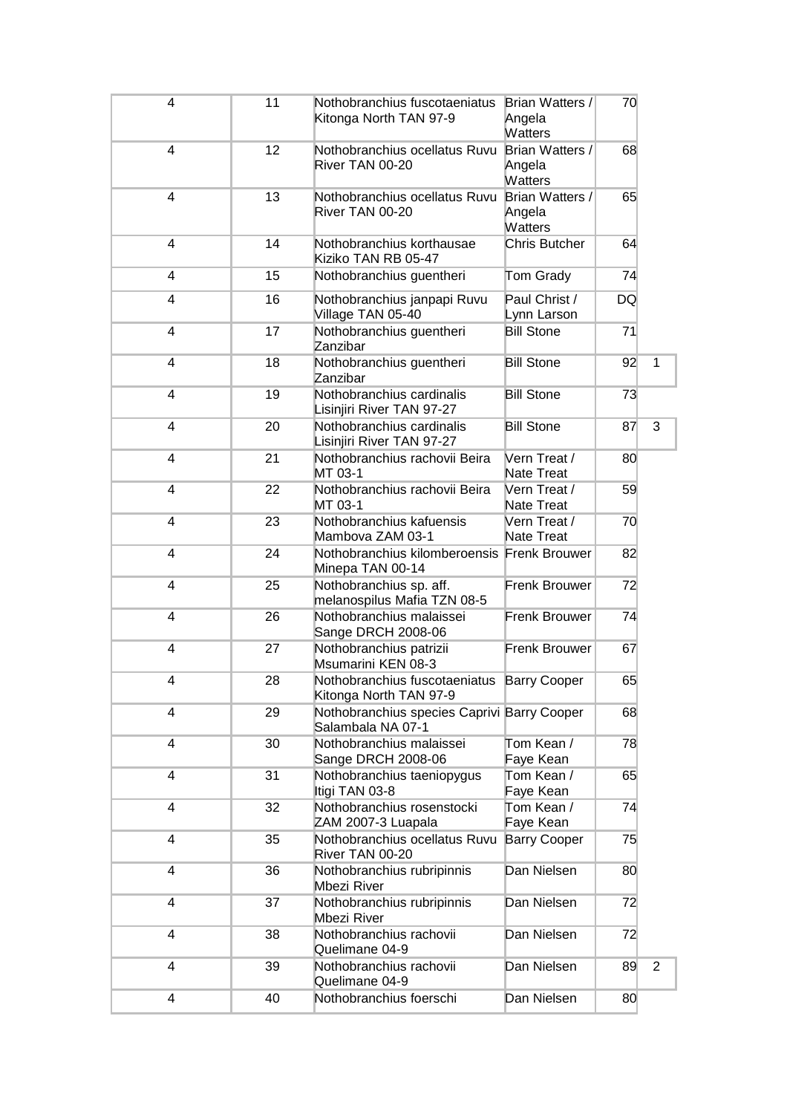| 4 | 11 | Nothobranchius fuscotaeniatus<br>Kitonga North TAN 97-9              | Brian Watters /<br>Angela<br><b>Watters</b> | 70        |                |
|---|----|----------------------------------------------------------------------|---------------------------------------------|-----------|----------------|
| 4 | 12 | Nothobranchius ocellatus Ruvu<br>River TAN 00-20                     | Brian Watters /<br>Angela<br><b>Watters</b> | 68        |                |
| 4 | 13 | Nothobranchius ocellatus Ruvu<br>River TAN 00-20                     | Brian Watters /<br>Angela<br><b>Watters</b> | 65        |                |
| 4 | 14 | Nothobranchius korthausae<br>Kiziko TAN RB 05-47                     | Chris Butcher                               | 64        |                |
| 4 | 15 | Nothobranchius guentheri                                             | Tom Grady                                   | 74        |                |
| 4 | 16 | Nothobranchius janpapi Ruvu<br>Village TAN 05-40                     | Paul Christ /<br>Lynn Larson                | <b>DQ</b> |                |
| 4 | 17 | Nothobranchius guentheri<br>Zanzibar                                 | <b>Bill Stone</b>                           | 71        |                |
| 4 | 18 | Nothobranchius guentheri<br>Zanzibar                                 | <b>Bill Stone</b>                           | 92        | 1              |
| 4 | 19 | Nothobranchius cardinalis<br>Lisinjiri River TAN 97-27               | <b>Bill Stone</b>                           | 73        |                |
| 4 | 20 | Nothobranchius cardinalis<br>Lisinjiri River TAN 97-27               | <b>Bill Stone</b>                           | 87        | 3              |
| 4 | 21 | Nothobranchius rachovii Beira<br>MT 03-1                             | Vern Treat /<br>Nate Treat                  | 80        |                |
| 4 | 22 | Nothobranchius rachovii Beira<br>MT 03-1                             | Vern Treat /<br>Nate Treat                  | 59        |                |
| 4 | 23 | Nothobranchius kafuensis<br>Mambova ZAM 03-1                         | Vern Treat /<br>Nate Treat                  | 70        |                |
| 4 | 24 | Nothobranchius kilomberoensis Frenk Brouwer<br>Minepa TAN 00-14      |                                             | 82        |                |
| 4 | 25 | Nothobranchius sp. aff.<br>melanospilus Mafia TZN 08-5               | Frenk Brouwer                               | 72        |                |
| 4 | 26 | Nothobranchius malaissei<br>Sange DRCH 2008-06                       | Frenk Brouwer                               | 74        |                |
| 4 | 27 | Nothobranchius patrizii<br>Msumarini KEN 08-3                        | Frenk Brouwer                               | 67        |                |
| 4 | 28 | Nothobranchius fuscotaeniatus Barry Cooper<br>Kitonga North TAN 97-9 |                                             | 65        |                |
| 4 | 29 | Nothobranchius species Caprivi Barry Cooper<br>Salambala NA 07-1     |                                             | 68        |                |
| 4 | 30 | Nothobranchius malaissei<br>Sange DRCH 2008-06                       | Tom Kean /<br>Faye Kean                     | 78        |                |
| 4 | 31 | Nothobranchius taeniopygus<br>Itigi TAN 03-8                         | Tom Kean /<br>Faye Kean                     | 65        |                |
| 4 | 32 | Nothobranchius rosenstocki<br>ZAM 2007-3 Luapala                     | Tom Kean /<br>Faye Kean                     | 74        |                |
| 4 | 35 | Nothobranchius ocellatus Ruvu<br>River TAN 00-20                     | <b>Barry Cooper</b>                         | 75        |                |
| 4 | 36 | Nothobranchius rubripinnis<br>Mbezi River                            | Dan Nielsen                                 | 80        |                |
| 4 | 37 | Nothobranchius rubripinnis<br>Mbezi River                            | Dan Nielsen                                 | 72        |                |
| 4 | 38 | Nothobranchius rachovii<br>Quelimane 04-9                            | Dan Nielsen                                 | 72        |                |
| 4 | 39 | Nothobranchius rachovii<br>Quelimane 04-9                            | Dan Nielsen                                 | 89        | $\overline{2}$ |
| 4 | 40 | Nothobranchius foerschi                                              | Dan Nielsen                                 | 80        |                |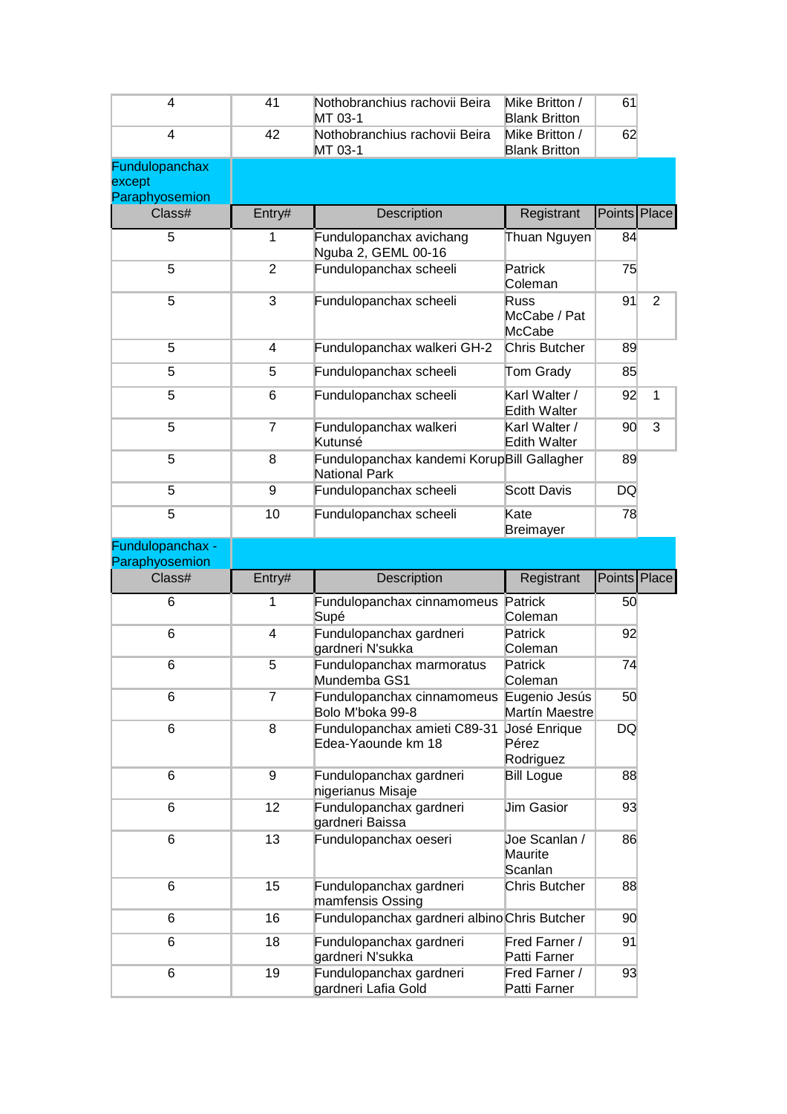| 4                                  | 41             | Nothobranchius rachovii Beira<br>MT 03-1                                     | Mike Britton /<br><b>Blank Britton</b> | 61           |                |
|------------------------------------|----------------|------------------------------------------------------------------------------|----------------------------------------|--------------|----------------|
| 4                                  | 42             | Nothobranchius rachovii Beira<br>MT 03-1                                     | Mike Britton /<br><b>Blank Britton</b> | 62           |                |
| Fundulopanchax<br>except           |                |                                                                              |                                        |              |                |
| Paraphyosemion<br>Class#           | Entry#         | Description                                                                  | Registrant                             | Points Place |                |
| 5                                  | 1              | Fundulopanchax avichang                                                      | Thuan Nguyen                           | 84           |                |
|                                    |                | Nguba 2, GEML 00-16                                                          |                                        |              |                |
| 5                                  | $\overline{2}$ | Fundulopanchax scheeli                                                       | Patrick<br>Coleman                     | 75           |                |
| 5                                  | 3              | Fundulopanchax scheeli                                                       | Russ<br>McCabe / Pat<br>McCabe         | 91           | $\overline{2}$ |
| 5                                  | 4              | Fundulopanchax walkeri GH-2                                                  | Chris Butcher                          | 89           |                |
| 5                                  | 5              | Fundulopanchax scheeli                                                       | Tom Grady                              | 85           |                |
| 5                                  | 6              | Fundulopanchax scheeli                                                       | Karl Walter /<br><b>Edith Walter</b>   | 92           | 1              |
| 5                                  | 7              | Fundulopanchax walkeri<br>Kutunsé                                            | Karl Walter /<br><b>Edith Walter</b>   | 90           | 3              |
| 5                                  | 8              | Fundulopanchax kandemi KorupBill Gallagher<br>National Park                  |                                        | 89           |                |
| 5                                  | 9              | Fundulopanchax scheeli                                                       | <b>Scott Davis</b>                     | DQ           |                |
| 5                                  | 10             | Fundulopanchax scheeli                                                       | Kate<br><b>Breimayer</b>               | 78           |                |
| Fundulopanchax -<br>Paraphyosemion |                |                                                                              |                                        |              |                |
|                                    |                |                                                                              |                                        |              |                |
| Class#                             | Entry#         | Description                                                                  | Registrant                             | Points Place |                |
| 6                                  | 1              | Fundulopanchax cinnamomeus Patrick                                           |                                        | 50           |                |
| 6                                  | 4              | Supé<br>Fundulopanchax gardneri                                              | Coleman<br>Patrick                     | 92           |                |
| 6                                  | 5              | gardneri N'sukka<br>Fundulopanchax marmoratus                                | Coleman<br>Patrick<br>Coleman          | 74           |                |
| 6                                  | 7              | Mundemba GS1<br>Fundulopanchax cinnamomeus Eugenio Jesús<br>Bolo M'boka 99-8 | Martín Maestre                         | 50           |                |
| 6                                  | 8              | Fundulopanchax amieti C89-31<br>Edea-Yaounde km 18                           | José Enrique<br>Pérez<br>Rodriguez     | DQ           |                |
| 6                                  | 9              | Fundulopanchax gardneri                                                      | <b>Bill Logue</b>                      | 88           |                |
| 6                                  | 12             | nigerianus Misaje<br>Fundulopanchax gardneri                                 | <b>Jim Gasior</b>                      | 93           |                |
| 6                                  | 13             | gardneri Baissa<br>Fundulopanchax oeseri                                     | Joe Scanlan /<br>Maurite<br>Scanlan    | 86           |                |
| 6                                  | 15             | Fundulopanchax gardneri<br>mamfensis Ossing                                  | <b>Chris Butcher</b>                   | 88           |                |
| 6                                  | 16             | Fundulopanchax gardneri albino Chris Butcher                                 |                                        | 90           |                |
| 6                                  | 18             | Fundulopanchax gardneri<br>gardneri N'sukka                                  | Fred Farner /<br>Patti Farner          | 91           |                |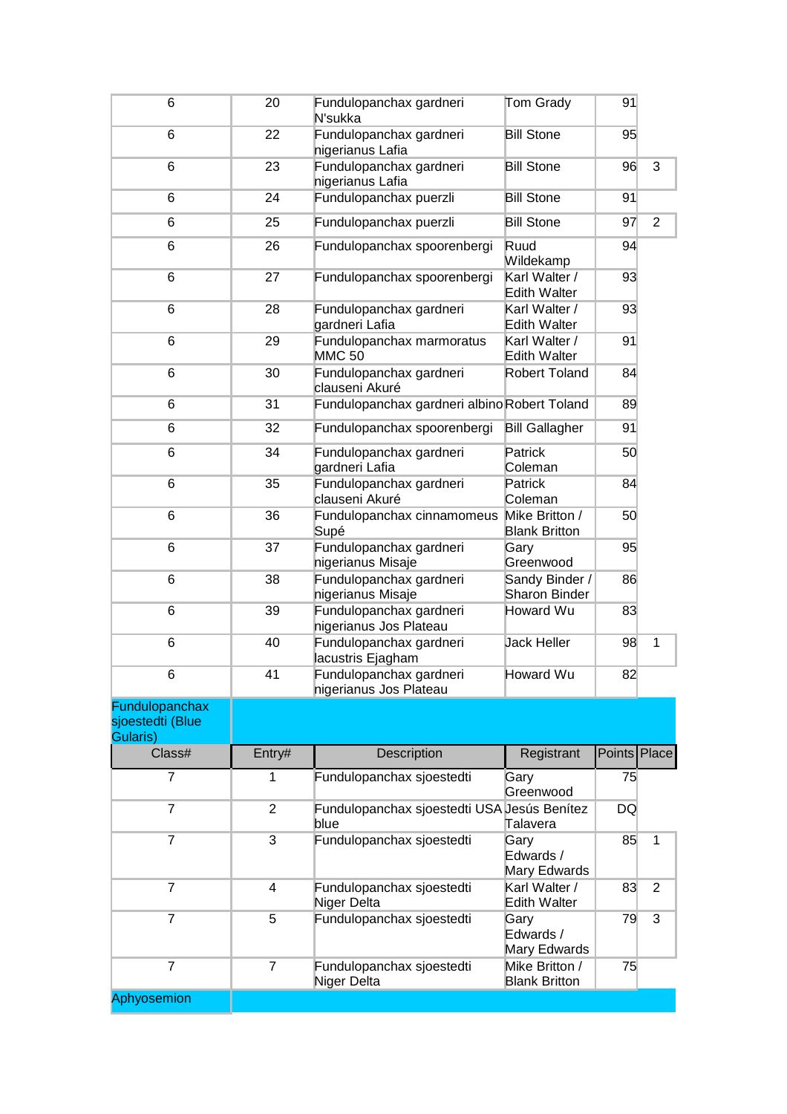| 6                            | 20             | Fundulopanchax gardneri<br>N'sukka                  | Tom Grady                              | 91           |                |
|------------------------------|----------------|-----------------------------------------------------|----------------------------------------|--------------|----------------|
| 6                            | 22             | Fundulopanchax gardneri<br>nigerianus Lafia         | <b>Bill Stone</b>                      | 95           |                |
| 6                            | 23             | Fundulopanchax gardneri<br>nigerianus Lafia         | <b>Bill Stone</b>                      | 96           | 3              |
| 6                            | 24             | Fundulopanchax puerzli                              | <b>Bill Stone</b>                      | 91           |                |
| 6                            | 25             | Fundulopanchax puerzli                              | <b>Bill Stone</b>                      | 97           | $\overline{2}$ |
| 6                            | 26             | Fundulopanchax spoorenbergi                         | Ruud<br>Wildekamp                      | 94           |                |
| 6                            | 27             | Fundulopanchax spoorenbergi                         | Karl Walter /<br><b>Edith Walter</b>   | 93           |                |
| 6                            | 28             | Fundulopanchax gardneri<br>gardneri Lafia           | Karl Walter /<br>Edith Walter          | 93           |                |
| 6                            | 29             | Fundulopanchax marmoratus<br><b>MMC 50</b>          | Karl Walter /<br><b>Edith Walter</b>   | 91           |                |
| 6                            | 30             | Fundulopanchax gardneri<br>clauseni Akuré           | Robert Toland                          | 84           |                |
| 6                            | 31             | Fundulopanchax gardneri albino Robert Toland        |                                        | 89           |                |
| 6                            | 32             | Fundulopanchax spoorenbergi                         | <b>Bill Gallagher</b>                  | 91           |                |
| 6                            | 34             | Fundulopanchax gardneri<br>gardneri Lafia           | Patrick<br>Coleman                     | 50           |                |
| 6                            | 35             | Fundulopanchax gardneri<br>clauseni Akuré           | Patrick<br>Coleman                     | 84           |                |
| 6                            | 36             | Fundulopanchax cinnamomeus<br>Supé                  | Mike Britton /<br><b>Blank Britton</b> | 50           |                |
| 6                            | 37             | Fundulopanchax gardneri<br>nigerianus Misaje        | Gary<br>Greenwood                      | 95           |                |
| 6                            | 38             | Fundulopanchax gardneri<br>nigerianus Misaje        | Sandy Binder /<br><b>Sharon Binder</b> | 86           |                |
| 6                            | 39             | Fundulopanchax gardneri<br>nigerianus Jos Plateau   | Howard Wu                              | 83           |                |
| 6                            | 40             | Fundulopanchax gardneri<br>lacustris Ejagham        | Jack Heller                            | 98           | 1              |
| 6                            | 41             | Fundulopanchax gardneri<br>nigerianus Jos Plateau   | Howard Wu                              | 82           |                |
| Fundulopanchax               |                |                                                     |                                        |              |                |
| sjoestedti (Blue<br>Gularis) |                |                                                     |                                        |              |                |
| Class#                       | Entry#         | <b>Description</b>                                  | Registrant                             | Points Place |                |
| 7                            | 1              | Fundulopanchax sjoestedti                           | Gary<br>Greenwood                      | 75           |                |
| 7                            | $\overline{2}$ | Fundulopanchax sjoestedti USA Jesús Benítez<br>blue | Talavera                               | DQ           |                |
| $\overline{7}$               | 3              | Fundulopanchax sjoestedti                           | Gary<br>Edwards /<br>Mary Edwards      | 85           | $\mathbf{1}$   |
| 7                            | 4              | Fundulopanchax sjoestedti<br>Niger Delta            | Karl Walter /<br>Edith Walter          | 83           | 2              |
| 7                            | 5              | Fundulopanchax sjoestedti                           | Gary<br>Edwards /<br>Mary Edwards      | 79           | 3              |
| $\overline{7}$               | $\overline{7}$ | Fundulopanchax sjoestedti<br>Niger Delta            | Mike Britton /<br><b>Blank Britton</b> | 75           |                |
| Aphyosemion                  |                |                                                     |                                        |              |                |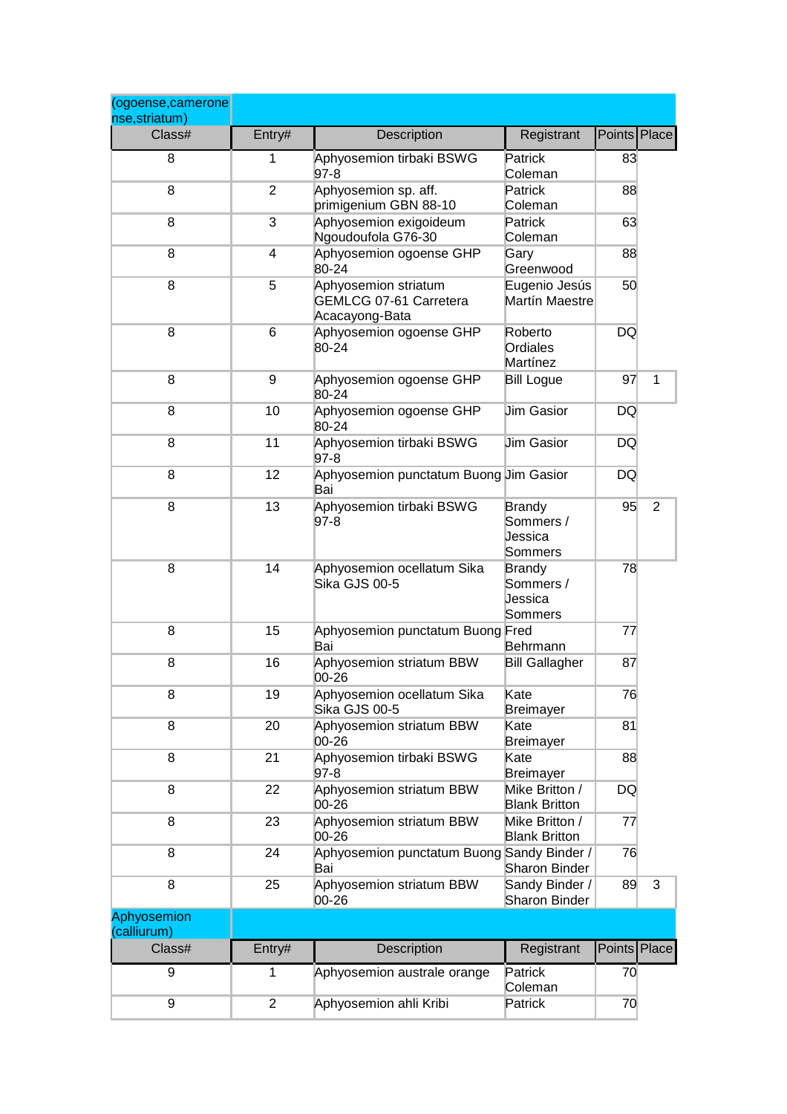| (ogoense, camerone<br>nse, striatum) |                |                                                                         |                                                         |              |                |
|--------------------------------------|----------------|-------------------------------------------------------------------------|---------------------------------------------------------|--------------|----------------|
| Class#                               | Entry#         | Description                                                             | Registrant                                              | Points Place |                |
| 8                                    | 1              | Aphyosemion tirbaki BSWG<br>$97-8$                                      | Patrick<br>Coleman                                      | 83           |                |
| 8                                    | 2              | Aphyosemion sp. aff.<br>primigenium GBN 88-10                           | Patrick<br>Coleman                                      | 88           |                |
| 8                                    | 3              | Aphyosemion exigoideum<br>Ngoudoufola G76-30                            | Patrick<br>Coleman                                      | 63           |                |
| 8                                    | 4              | Aphyosemion ogoense GHP<br>80-24                                        | Gary<br>Greenwood                                       | 88           |                |
| 8                                    | 5              | Aphyosemion striatum<br><b>GEMLCG 07-61 Carretera</b><br>Acacayong-Bata | Eugenio Jesús<br>Martín Maestre                         | 50           |                |
| 8                                    | 6              | Aphyosemion ogoense GHP<br>80-24                                        | Roberto<br>Ordiales<br>Martínez                         | <b>DQ</b>    |                |
| 8                                    | 9              | Aphyosemion ogoense GHP<br>80-24                                        | <b>Bill Logue</b>                                       | 97           | 1              |
| 8                                    | 10             | Aphyosemion ogoense GHP<br>80-24                                        | <b>Jim Gasior</b>                                       | DQ           |                |
| 8                                    | 11             | Aphyosemion tirbaki BSWG<br>$97-8$                                      | <b>Jim Gasior</b>                                       | DQ           |                |
| 8                                    | 12             | Aphyosemion punctatum Buong Jim Gasior<br>Bai                           |                                                         | <b>DQ</b>    |                |
| 8                                    | 13             | Aphyosemion tirbaki BSWG<br>$97-8$                                      | <b>Brandy</b><br>Sommers /<br><b>Jessica</b><br>Sommers | 95           | $\overline{2}$ |
| 8                                    | 14             | Aphyosemion ocellatum Sika<br>Sika GJS 00-5                             | <b>Brandy</b><br>Sommers /<br><b>Jessica</b><br>Sommers | 78           |                |
| 8                                    | 15             | Aphyosemion punctatum Buong Fred<br>Bai                                 | Behrmann                                                | 77           |                |
| 8                                    | 16             | Aphyosemion striatum BBW<br>00-26                                       | <b>Bill Gallagher</b>                                   | 87           |                |
| 8                                    | 19             | Aphyosemion ocellatum Sika<br>Sika GJS 00-5                             | Kate<br>Breimayer                                       | 76           |                |
| 8                                    | 20             | Aphyosemion striatum BBW<br>00-26                                       | Kate<br><b>Breimayer</b>                                | 81           |                |
| 8                                    | 21             | Aphyosemion tirbaki BSWG<br>97-8                                        | Kate<br><b>Breimayer</b>                                | 88           |                |
| 8                                    | 22             | Aphyosemion striatum BBW<br>00-26                                       | Mike Britton /<br><b>Blank Britton</b>                  | DQ           |                |
| 8                                    | 23             | Aphyosemion striatum BBW<br>00-26                                       | Mike Britton /<br><b>Blank Britton</b>                  | 77           |                |
| 8                                    | 24             | Aphyosemion punctatum Buong Sandy Binder /<br>Bai                       | Sharon Binder                                           | 76           |                |
| 8                                    | 25             | Aphyosemion striatum BBW<br>00-26                                       | Sandy Binder /<br><b>Sharon Binder</b>                  | 89           | 3              |
| Aphyosemion<br>(calliurum)           |                |                                                                         |                                                         |              |                |
| Class#                               | Entry#         | Description                                                             | Registrant                                              | Points Place |                |
| 9                                    | 1              | Aphyosemion australe orange                                             | Patrick<br>Coleman                                      | 70           |                |
| 9                                    | $\overline{2}$ | Aphyosemion ahli Kribi                                                  | Patrick                                                 | 70           |                |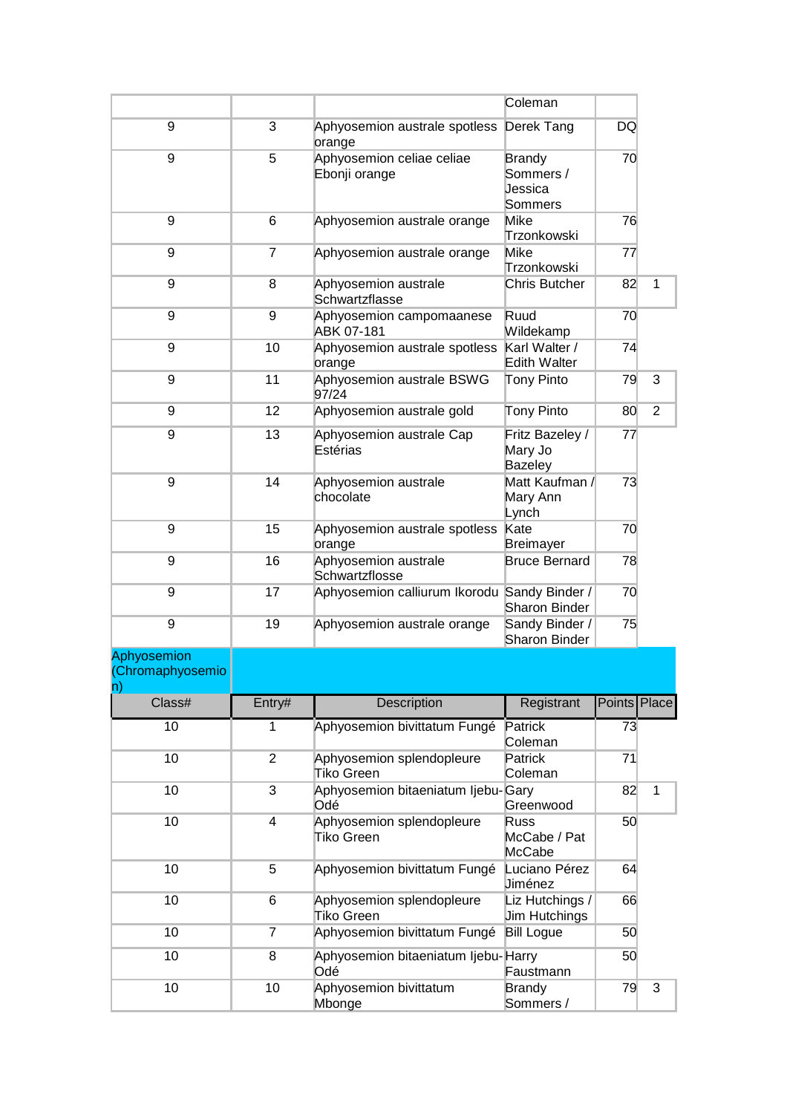|                                                |                         |                                                | Coleman                                                 |              |                |
|------------------------------------------------|-------------------------|------------------------------------------------|---------------------------------------------------------|--------------|----------------|
| 9                                              | 3                       | Aphyosemion australe spotless<br>orange        | Derek Tang                                              | DQ           |                |
| 9                                              | 5                       | Aphyosemion celiae celiae<br>Ebonji orange     | <b>Brandy</b><br>Sommers /<br><b>Jessica</b><br>Sommers | 70           |                |
| 9                                              | 6                       | Aphyosemion australe orange                    | Mike<br>Trzonkowski                                     | 76           |                |
| 9                                              | $\overline{7}$          | Aphyosemion australe orange                    | Mike<br>Trzonkowski                                     | 77           |                |
| 9                                              | 8                       | Aphyosemion australe<br>Schwartzflasse         | Chris Butcher                                           | 82           | 1              |
| 9                                              | 9                       | Aphyosemion campomaanese<br>ABK 07-181         | Ruud<br>Wildekamp                                       | 70           |                |
| 9                                              | 10                      | Aphyosemion australe spotless<br>orange        | Karl Walter /<br>Edith Walter                           | 74           |                |
| 9                                              | 11                      | Aphyosemion australe BSWG<br>97/24             | Tony Pinto                                              | 79           | 3              |
| 9                                              | 12                      | Aphyosemion australe gold                      | Tony Pinto                                              | 80           | $\overline{2}$ |
| 9                                              | 13                      | Aphyosemion australe Cap<br>Estérias           | Fritz Bazeley /<br>Mary Jo<br>Bazeley                   | 77           |                |
| 9                                              | 14                      | Aphyosemion australe<br>chocolate              | Matt Kaufman /<br>Mary Ann<br>Lynch                     | 73           |                |
| 9                                              | 15                      | Aphyosemion australe spotless<br>orange        | Kate<br><b>Breimayer</b>                                | 70           |                |
| 9                                              | 16                      | Aphyosemion australe<br>Schwartzflosse         | <b>Bruce Bernard</b>                                    | 78           |                |
| 9                                              | 17                      | Aphyosemion calliurum Ikorodu Sandy Binder /   | Sharon Binder                                           | 70           |                |
| 9                                              | 19                      | Aphyosemion australe orange                    | Sandy Binder /<br>Sharon Binder                         | 75           |                |
| Aphyosemion<br>(Chromaphyosemio<br>$ n\rangle$ |                         |                                                |                                                         |              |                |
| Class#                                         | Entry#                  | Description                                    | Registrant                                              | Points Place |                |
| 10                                             | 1                       | Aphyosemion bivittatum Fungé                   | Patrick<br>Coleman                                      | 73           |                |
| 10                                             | $\overline{2}$          | Aphyosemion splendopleure<br><b>Tiko Green</b> | Patrick<br>Coleman                                      | 71           |                |
| 10                                             | 3                       | Aphyosemion bitaeniatum Ijebu-Gary<br>Odé      | Greenwood                                               | 82           | $\mathbf{1}$   |
| 10                                             | $\overline{\mathbf{4}}$ | Aphyosemion splendopleure<br>Tiko Green        | <b>Russ</b><br>McCabe / Pat<br>McCabe                   | 50           |                |
| 10                                             | 5                       | Aphyosemion bivittatum Fungé                   | Luciano Pérez<br>Jiménez                                | 64           |                |
| 10                                             | 6                       | Aphyosemion splendopleure<br>Tiko Green        | Liz Hutchings /<br><b>Jim Hutchings</b>                 | 66           |                |
| 10                                             | $\overline{7}$          | Aphyosemion bivittatum Fungé                   | <b>Bill Logue</b>                                       | 50           |                |
| 10                                             | 8                       | Aphyosemion bitaeniatum Ijebu-Harry<br>Odé     | Faustmann                                               | 50           |                |
| 10                                             | 10                      | Aphyosemion bivittatum<br>Mbonge               | <b>Brandy</b><br>Sommers /                              | 79           | 3              |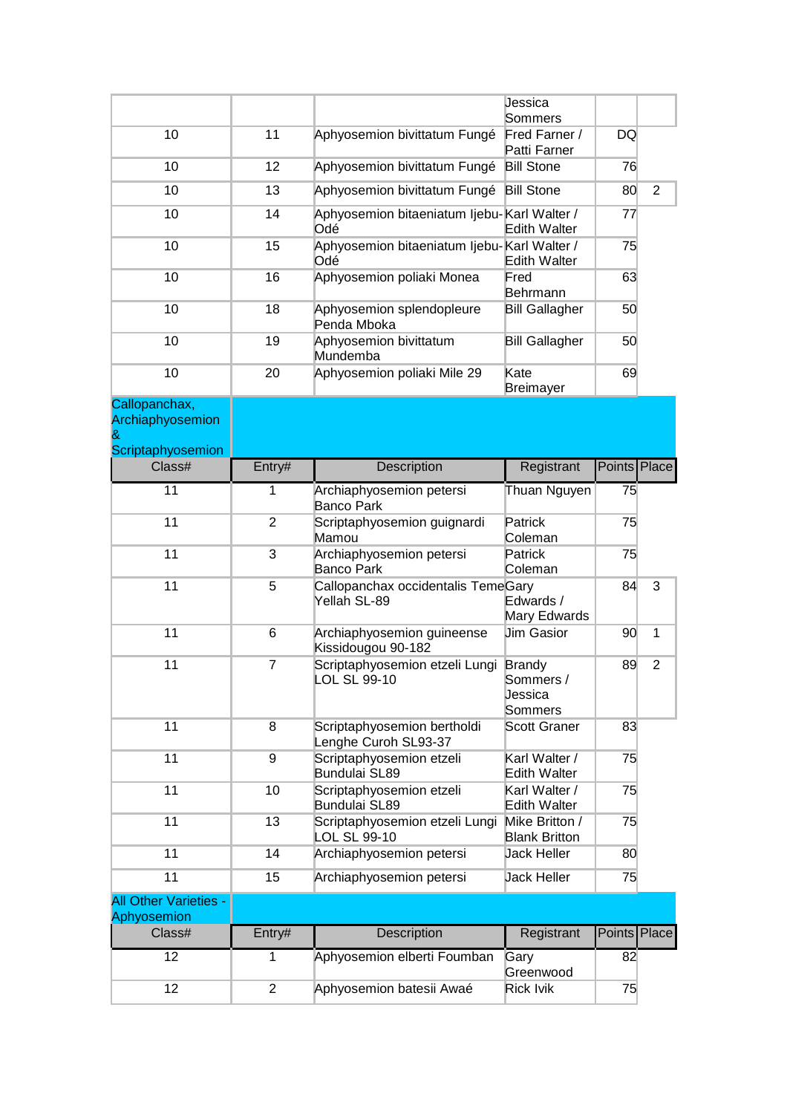|                                   |                |                                                       | Jessica<br>Sommers                        |              |                |
|-----------------------------------|----------------|-------------------------------------------------------|-------------------------------------------|--------------|----------------|
| 10                                | 11             | Aphyosemion bivittatum Fungé                          | Fred Farner /<br>Patti Farner             | DQ           |                |
| 10                                | 12             | Aphyosemion bivittatum Fungé                          | <b>Bill Stone</b>                         | 76           |                |
| 10                                | 13             | Aphyosemion bivittatum Fungé                          | <b>Bill Stone</b>                         | 80           | $\overline{2}$ |
| 10                                | 14             | Aphyosemion bitaeniatum Ijebu-Karl Walter /<br>Odé    | <b>Edith Walter</b>                       | 77           |                |
| 10                                | 15             | Aphyosemion bitaeniatum Ijebu-Karl Walter /<br>Odé    | Edith Walter                              | 75           |                |
| 10                                | 16             | Aphyosemion poliaki Monea                             | Fred<br>Behrmann                          | 63           |                |
| 10                                | 18             | Aphyosemion splendopleure<br>Penda Mboka              | <b>Bill Gallagher</b>                     | 50           |                |
| 10                                | 19             | Aphyosemion bivittatum<br>Mundemba                    | <b>Bill Gallagher</b>                     | 50           |                |
| 10                                | 20             | Aphyosemion poliaki Mile 29                           | Kate<br><b>Breimayer</b>                  | 69           |                |
| Callopanchax,<br>Archiaphyosemion |                |                                                       |                                           |              |                |
| Scriptaphyosemion<br>Class#       |                |                                                       |                                           | Points Place |                |
|                                   | Entry#         | Description                                           | Registrant                                |              |                |
| 11                                | 1              | Archiaphyosemion petersi<br><b>Banco Park</b>         | Thuan Nguyen                              | 75           |                |
| 11                                | $\overline{2}$ | Scriptaphyosemion guignardi<br>Mamou                  | Patrick<br>Coleman                        | 75           |                |
| 11                                | 3              | Archiaphyosemion petersi<br><b>Banco Park</b>         | Patrick<br>Coleman                        | 75           |                |
| 11                                | 5              | Callopanchax occidentalis TemeGary<br>Yellah SL-89    | Edwards /<br>Mary Edwards                 | 84           | 3              |
| 11                                | 6              | Archiaphyosemion guineense<br>Kissidougou 90-182      | <b>Jim Gasior</b>                         | 90           | 1              |
| 11                                | 7              | Scriptaphyosemion etzeli Lungi<br><b>LOL SL 99-10</b> | Brandy<br>Sommers /<br>Jessica<br>Sommers | 89           | $\overline{2}$ |
| 11                                | 8              | Scriptaphyosemion bertholdi<br>Lenghe Curoh SL93-37   | Scott Graner                              | 83           |                |
| 11                                | 9              | Scriptaphyosemion etzeli<br>Bundulai SL89             | Karl Walter /<br>Edith Walter             | 75           |                |
| 11                                | 10             | Scriptaphyosemion etzeli<br>Bundulai SL89             | Karl Walter /<br>Edith Walter             | 75           |                |
| 11                                | 13             | Scriptaphyosemion etzeli Lungi<br>LOL SL 99-10        | Mike Britton /<br><b>Blank Britton</b>    | 75           |                |
| 11                                | 14             | Archiaphyosemion petersi                              | <b>Jack Heller</b>                        | 80           |                |
| 11                                | 15             | Archiaphyosemion petersi                              | <b>Jack Heller</b>                        | 75           |                |
| <b>All Other Varieties -</b>      |                |                                                       |                                           |              |                |
| Aphyosemion<br>Class#             | Entry#         | Description                                           | Registrant                                | Points Place |                |
| 12                                | 1              | Aphyosemion elberti Foumban                           | Gary<br>Greenwood                         | 82           |                |
| 12                                | $\overline{2}$ | Aphyosemion batesii Awaé                              | <b>Rick Ivik</b>                          | 75           |                |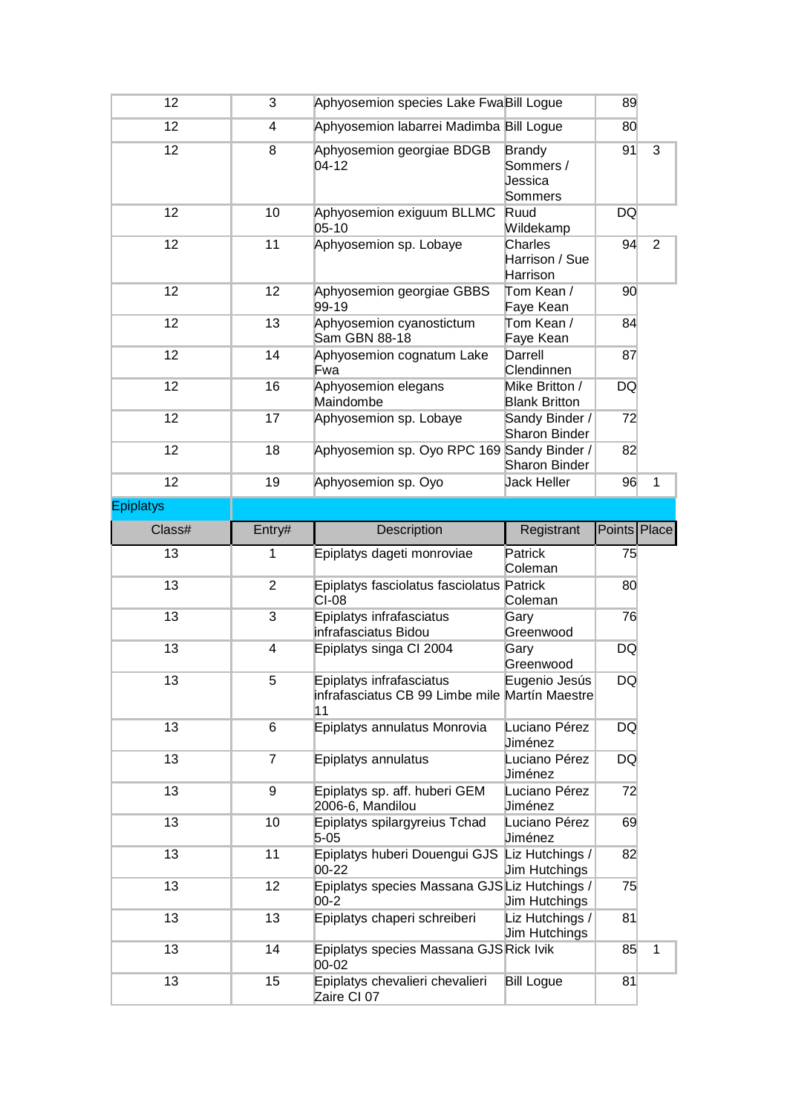| 12               | 3              | Aphyosemion species Lake FwaBill Logue                                           |                                                  | 89           |                |
|------------------|----------------|----------------------------------------------------------------------------------|--------------------------------------------------|--------------|----------------|
| 12               | 4              | Aphyosemion labarrei Madimba Bill Logue                                          |                                                  | 80           |                |
| 12               | 8              | Aphyosemion georgiae BDGB<br>$04 - 12$                                           | <b>Brandy</b><br>Sommers /<br>Jessica<br>Sommers | 91           | 3              |
| 12               | 10             | Aphyosemion exiguum BLLMC<br>05-10                                               | Ruud<br>Wildekamp                                | DQ           |                |
| 12               | 11             | Aphyosemion sp. Lobaye                                                           | Charles<br>Harrison / Sue<br>Harrison            | 94           | $\overline{2}$ |
| 12               | 12             | Aphyosemion georgiae GBBS<br>99-19                                               | Tom Kean /<br>Faye Kean                          | 90           |                |
| 12               | 13             | Aphyosemion cyanostictum<br>Sam GBN 88-18                                        | Tom Kean /<br>Faye Kean                          | 84           |                |
| 12               | 14             | Aphyosemion cognatum Lake<br>Fwa                                                 | Darrell<br>Clendinnen                            | 87           |                |
| 12               | 16             | Aphyosemion elegans<br>Maindombe                                                 | Mike Britton /<br><b>Blank Britton</b>           | DQ           |                |
| 12               | 17             | Aphyosemion sp. Lobaye                                                           | Sandy Binder /<br>Sharon Binder                  | 72           |                |
| 12               | 18             | Aphyosemion sp. Oyo RPC 169 Sandy Binder /                                       | Sharon Binder                                    | 82           |                |
| 12               | 19             | Aphyosemion sp. Oyo                                                              | <b>Jack Heller</b>                               | 96           | $\mathbf{1}$   |
| <b>Epiplatys</b> |                |                                                                                  |                                                  |              |                |
| Class#           | Entry#         | Description                                                                      | Registrant                                       | Points Place |                |
|                  |                |                                                                                  | Patrick                                          |              |                |
| 13               | 1              | Epiplatys dageti monroviae                                                       | Coleman                                          | 75           |                |
| 13               | $\overline{2}$ | Epiplatys fasciolatus fasciolatus Patrick<br>$CI-08$                             | Coleman                                          | 80           |                |
| 13               | 3              | Epiplatys infrafasciatus<br>infrafasciatus Bidou                                 | Gary<br>Greenwood                                | 76           |                |
| 13               | 4              | Epiplatys singa CI 2004                                                          | Gary<br>Greenwood                                | DQ           |                |
| 13               | 5              | Epiplatys infrafasciatus<br>infrafasciatus CB 99 Limbe mile Martín Maestre<br>11 | Eugenio Jesús                                    | <b>DQ</b>    |                |
| 13               | 6              | Epiplatys annulatus Monrovia                                                     | Luciano Pérez<br>Jiménez                         | DQ           |                |
| 13               | $\overline{7}$ | Epiplatys annulatus                                                              | Luciano Pérez<br>Jiménez                         | DQ           |                |
| 13               | 9              | Epiplatys sp. aff. huberi GEM<br>2006-6, Mandilou                                | Luciano Pérez<br>Jiménez                         | 72           |                |
| 13               | 10             | Epiplatys spilargyreius Tchad<br>$5 - 05$                                        | Luciano Pérez<br>Jiménez                         | 69           |                |
| 13               | 11             | Epiplatys huberi Douengui GJS Liz Hutchings /<br>00-22                           | <b>Jim Hutchings</b>                             | 82           |                |
| 13               | 12             | Epiplatys species Massana GJSLiz Hutchings /<br>$00 - 2$                         | <b>Jim Hutchings</b>                             | 75           |                |
| 13               | 13             | Epiplatys chaperi schreiberi                                                     | Liz Hutchings /<br><b>Jim Hutchings</b>          | 81           |                |
| 13               | 14             | Epiplatys species Massana GJS Rick Ivik<br>00-02                                 |                                                  | 85           | $\mathbf{1}$   |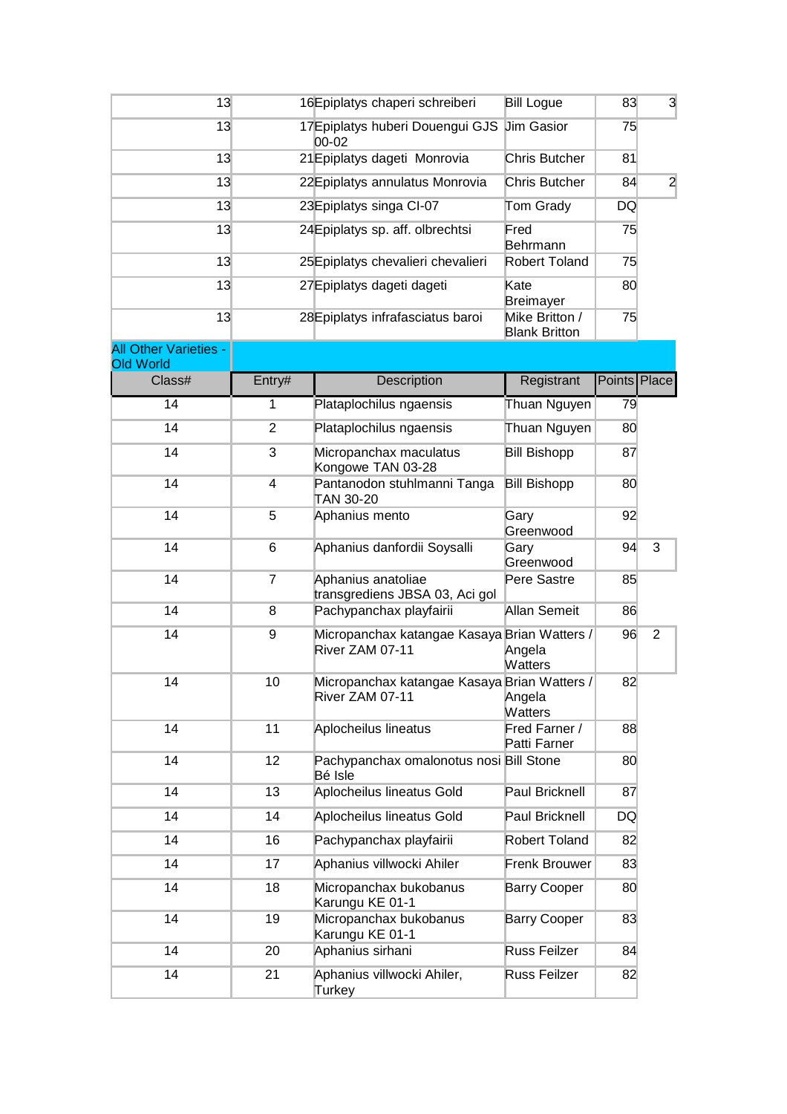| 13                                               |                | 16Epiplatys chaperi schreiberi                                  | <b>Bill Logue</b>                      | 83           | 3              |
|--------------------------------------------------|----------------|-----------------------------------------------------------------|----------------------------------------|--------------|----------------|
| 13                                               |                | 17 Epiplatys huberi Douengui GJS<br>00-02                       | <b>Jim Gasior</b>                      | 75           |                |
| 13                                               |                | 21 Epiplatys dageti Monrovia                                    | <b>Chris Butcher</b>                   | 81           |                |
| 13                                               |                | 22 Epiplatys annulatus Monrovia                                 | <b>Chris Butcher</b>                   | 84           | $\overline{a}$ |
| 13                                               |                | 23 Epiplatys singa CI-07                                        | Tom Grady                              | DQ           |                |
| 13                                               |                | 24 Epiplatys sp. aff. olbrechtsi                                | Fred<br>Behrmann                       | 75           |                |
| 13                                               |                | 25 Epiplatys chevalieri chevalieri                              | Robert Toland                          | 75           |                |
| 13                                               |                | 27 Epiplatys dageti dageti                                      | Kate<br><b>Breimayer</b>               | 80           |                |
| 13                                               |                | 28 Epiplatys infrafasciatus baroi                               | Mike Britton /<br><b>Blank Britton</b> | 75           |                |
| <b>All Other Varieties -</b><br><b>Old World</b> |                |                                                                 |                                        |              |                |
| Class#                                           | Entry#         | Description                                                     | Registrant                             | Points Place |                |
| 14                                               | 1              | Plataplochilus ngaensis                                         | Thuan Nguyen                           | 79           |                |
| 14                                               | $\overline{2}$ | Plataplochilus ngaensis                                         | Thuan Nguyen                           | 80           |                |
| 14                                               | 3              | Micropanchax maculatus<br>Kongowe TAN 03-28                     | <b>Bill Bishopp</b>                    | 87           |                |
| 14                                               | 4              | Pantanodon stuhlmanni Tanga<br>TAN 30-20                        | <b>Bill Bishopp</b>                    | 80           |                |
| 14                                               | 5              | Aphanius mento                                                  | Gary<br>Greenwood                      | 92           |                |
| 14                                               | 6              | Aphanius danfordii Soysalli                                     | Gary<br>Greenwood                      | 94           | $\sqrt{3}$     |
| 14                                               | $\overline{7}$ | Aphanius anatoliae<br>transgrediens JBSA 03, Aci gol            | Pere Sastre                            | 85           |                |
| 14                                               | 8              | Pachypanchax playfairii                                         | Allan Semeit                           | 86           |                |
| 14                                               | 9              | Micropanchax katangae Kasaya Brian Watters /<br>River ZAM 07-11 | Angela<br><b>Watters</b>               | 96           | $\overline{2}$ |
| 14                                               | 10             | Micropanchax katangae Kasaya Brian Watters /<br>River ZAM 07-11 | Angela<br><b>Watters</b>               | 82           |                |
| 14                                               | 11             | Aplocheilus lineatus                                            | Fred Farner /<br>Patti Farner          | 88           |                |
| 14                                               | 12             | Pachypanchax omalonotus nosi Bill Stone<br>Bé Isle              |                                        | 80           |                |
| 14                                               | 13             | Aplocheilus lineatus Gold                                       | Paul Bricknell                         | 87           |                |
| 14                                               | 14             | Aplocheilus lineatus Gold                                       | Paul Bricknell                         | DQ           |                |
| 14                                               | 16             | Pachypanchax playfairii                                         | Robert Toland                          | 82           |                |
| 14                                               | 17             | Aphanius villwocki Ahiler                                       | Frenk Brouwer                          | 83           |                |
| 14                                               | 18             | Micropanchax bukobanus<br>Karungu KE 01-1                       | <b>Barry Cooper</b>                    | 80           |                |
| 14                                               | 19             | Micropanchax bukobanus<br>Karungu KE 01-1                       | <b>Barry Cooper</b>                    | 83           |                |
| 14                                               | 20             | Aphanius sirhani                                                | Russ Feilzer                           | 84           |                |
| 14                                               | 21             | Aphanius villwocki Ahiler,<br>Turkey                            | Russ Feilzer                           | 82           |                |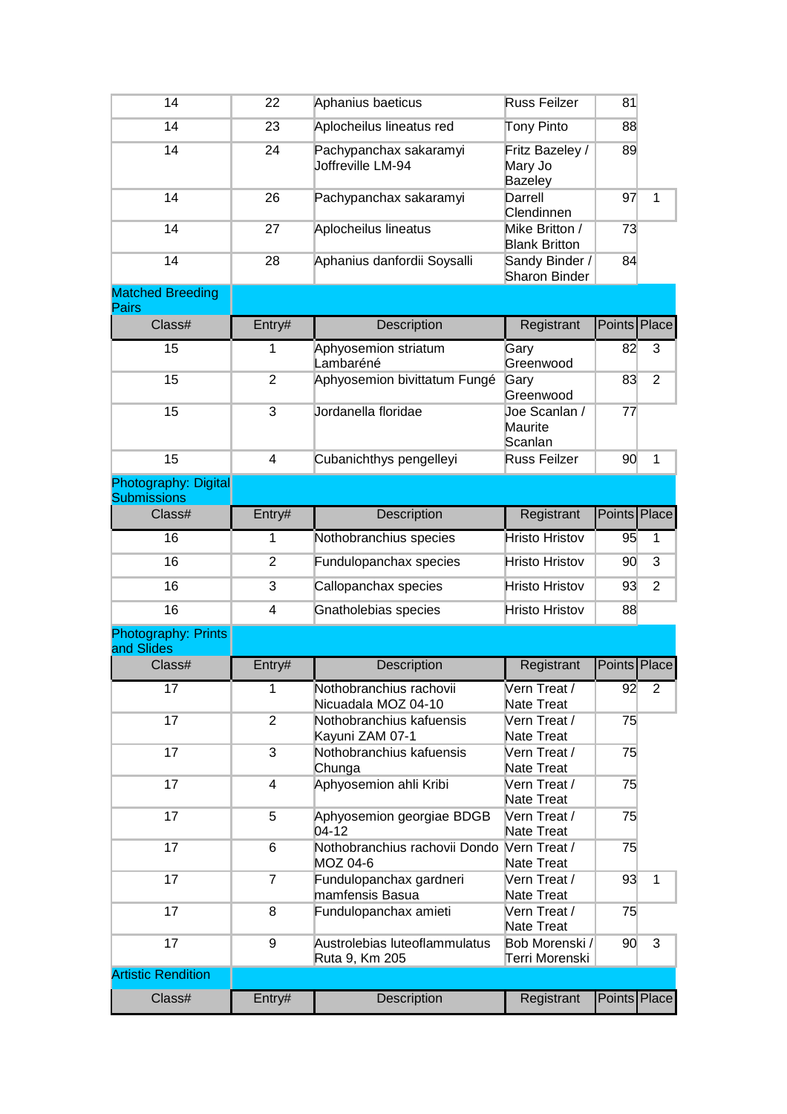| 14                                                | 22             | Aphanius baeticus                               | Russ Feilzer                                 | 81           |                |
|---------------------------------------------------|----------------|-------------------------------------------------|----------------------------------------------|--------------|----------------|
| 14                                                | 23             | Aplocheilus lineatus red                        | Tony Pinto                                   | 88           |                |
| 14                                                | 24             | Pachypanchax sakaramyi<br>Joffreville LM-94     | Fritz Bazeley /<br>Mary Jo<br><b>Bazeley</b> | 89           |                |
| 14                                                | 26             | Pachypanchax sakaramyi                          | Darrell<br>Clendinnen                        | 97           | $\mathbf{1}$   |
| 14                                                | 27             | Aplocheilus lineatus                            | Mike Britton /<br><b>Blank Britton</b>       | 73           |                |
| 14                                                | 28             | Aphanius danfordii Soysalli                     | Sandy Binder /<br>Sharon Binder              | 84           |                |
| <b>Matched Breeding</b><br><b>Pairs</b>           |                |                                                 |                                              |              |                |
| Class#                                            | Entry#         | Description                                     | Registrant                                   | Points Place |                |
| 15                                                | 1              | Aphyosemion striatum<br>Lambaréné               | Gary<br>Greenwood                            | 82           | 3              |
| 15                                                | $\overline{2}$ | Aphyosemion bivittatum Fungé                    | Gary<br>Greenwood                            | 83           | $\overline{2}$ |
| 15                                                | 3              | Jordanella floridae                             | Joe Scanlan /<br>Maurite<br>Scanlan          | 77           |                |
| 15                                                | 4              | Cubanichthys pengelleyi                         | Russ Feilzer                                 | 90           | $\mathbf{1}$   |
| <b>Photography: Digital</b><br><b>Submissions</b> |                |                                                 |                                              |              |                |
| Class#                                            | Entry#         | Description                                     | Registrant                                   | Points       | Place          |
| 16                                                | 1              | Nothobranchius species                          | <b>Hristo Hristov</b>                        | 95           | 1              |
| 16                                                | $\overline{2}$ | Fundulopanchax species                          | <b>Hristo Hristov</b>                        | 90           | 3              |
| 16                                                | 3              | Callopanchax species                            | <b>Hristo Hristov</b>                        | 93           | $\overline{2}$ |
| 16                                                | 4              | Gnatholebias species                            | <b>Hristo Hristov</b>                        | 88           |                |
| Photography: Prints<br>and Slides                 |                |                                                 |                                              |              |                |
| Class#                                            | Entry#         | Description                                     | Registrant                                   | Points Place |                |
| 17                                                | 1              | Nothobranchius rachovii<br>Nicuadala MOZ 04-10  | Vern Treat /<br>Nate Treat                   | 92           | $\overline{2}$ |
| 17                                                | $\overline{2}$ | Nothobranchius kafuensis<br>Kayuni ZAM 07-1     | Vern Treat /<br>Nate Treat                   | 75           |                |
| 17                                                | 3              | Nothobranchius kafuensis<br>Chunga              | Vern Treat /<br>Nate Treat                   | 75           |                |
| 17                                                | 4              | Aphyosemion ahli Kribi                          | Vern Treat /<br>Nate Treat                   | 75           |                |
| 17                                                | 5              | Aphyosemion georgiae BDGB<br>$04-12$            | Vern Treat /<br>Nate Treat                   | 75           |                |
| 17                                                | 6              | Nothobranchius rachovii Dondo<br>MOZ 04-6       | Vern Treat /<br>Nate Treat                   | 75           |                |
| 17                                                | $\overline{7}$ | Fundulopanchax gardneri<br>mamfensis Basua      | Vern Treat /<br>Nate Treat                   | 93           | 1              |
| 17                                                | 8              | Fundulopanchax amieti                           | Vern Treat /<br>Nate Treat                   | 75           |                |
| 17                                                | 9              | Austrolebias luteoflammulatus<br>Ruta 9, Km 205 | Bob Morenski /<br>Terri Morenski             | 90           | 3              |
| <b>Artistic Rendition</b>                         |                |                                                 |                                              |              |                |
| Class#                                            | Entry#         | Description                                     | Registrant                                   |              | Points Place   |